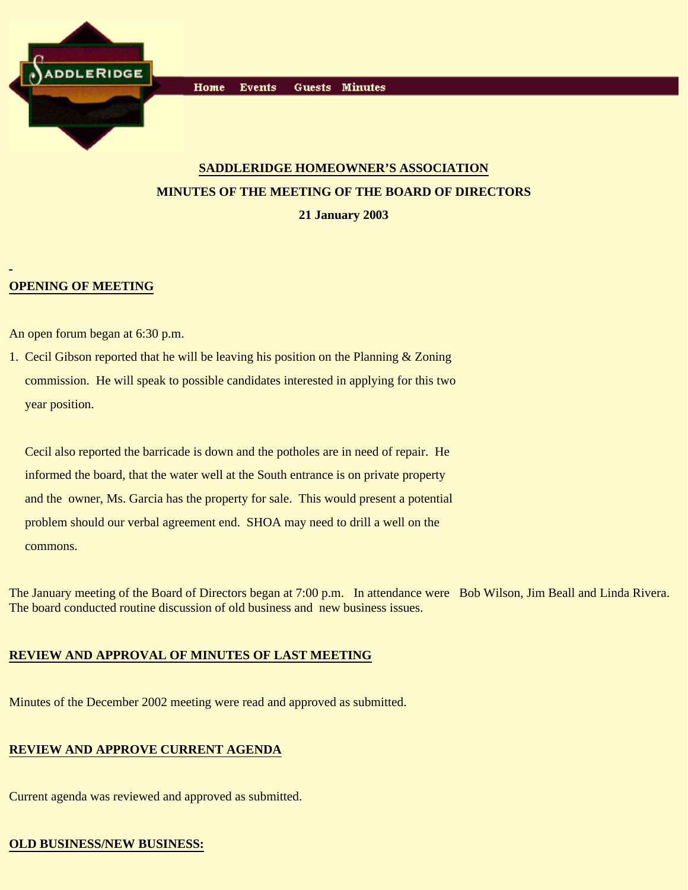

# **SADDLERIDGE HOMEOWNER'S ASSOCIATION MINUTES OF THE MEETING OF THE BOARD OF DIRECTORS 21 January 2003**

# **OPENING OF MEETING**

An open forum began at 6:30 p.m.

1. Cecil Gibson reported that he will be leaving his position on the Planning & Zoning commission. He will speak to possible candidates interested in applying for this two year position.

 Cecil also reported the barricade is down and the potholes are in need of repair. He informed the board, that the water well at the South entrance is on private property and the owner, Ms. Garcia has the property for sale. This would present a potential problem should our verbal agreement end. SHOA may need to drill a well on the commons.

The January meeting of the Board of Directors began at 7:00 p.m. In attendance were Bob Wilson, Jim Beall and Linda Rivera. The board conducted routine discussion of old business and new business issues.

# **REVIEW AND APPROVAL OF MINUTES OF LAST MEETING**

Minutes of the December 2002 meeting were read and approved as submitted.

## **REVIEW AND APPROVE CURRENT AGENDA**

Current agenda was reviewed and approved as submitted.

# **OLD BUSINESS/NEW BUSINESS:**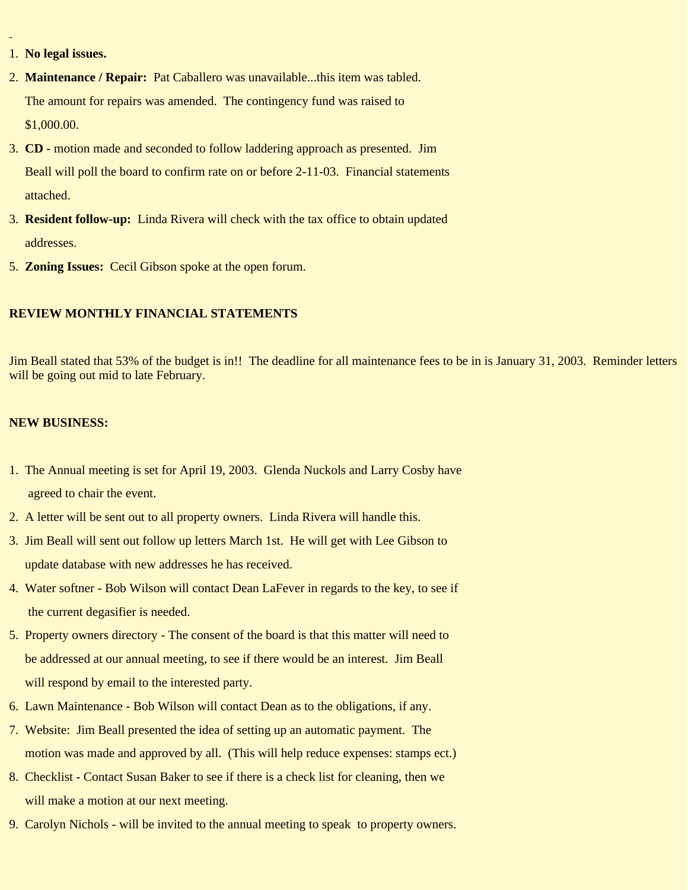- 1. **No legal issues.**
- 2. **Maintenance / Repair:** Pat Caballero was unavailable...this item was tabled. The amount for repairs was amended. The contingency fund was raised to \$1,000.00.
- 3. **CD** motion made and seconded to follow laddering approach as presented. Jim Beall will poll the board to confirm rate on or before 2-11-03. Financial statements attached.
- 3. **Resident follow-up:** Linda Rivera will check with the tax office to obtain updated addresses.
- 5. **Zoning Issues:** Cecil Gibson spoke at the open forum.

### **REVIEW MONTHLY FINANCIAL STATEMENTS**

Jim Beall stated that 53% of the budget is in!! The deadline for all maintenance fees to be in is January 31, 2003. Reminder letters will be going out mid to late February.

#### **NEW BUSINESS:**

- 1. The Annual meeting is set for April 19, 2003. Glenda Nuckols and Larry Cosby have agreed to chair the event.
- 2. A letter will be sent out to all property owners. Linda Rivera will handle this.
- 3. Jim Beall will sent out follow up letters March 1st. He will get with Lee Gibson to update database with new addresses he has received.
- 4. Water softner Bob Wilson will contact Dean LaFever in regards to the key, to see if the current degasifier is needed.
- 5. Property owners directory The consent of the board is that this matter will need to be addressed at our annual meeting, to see if there would be an interest. Jim Beall will respond by email to the interested party.
- 6. Lawn Maintenance Bob Wilson will contact Dean as to the obligations, if any.
- 7. Website: Jim Beall presented the idea of setting up an automatic payment. The motion was made and approved by all. (This will help reduce expenses: stamps ect.)
- 8. Checklist Contact Susan Baker to see if there is a check list for cleaning, then we will make a motion at our next meeting.
- 9. Carolyn Nichols will be invited to the annual meeting to speak to property owners.